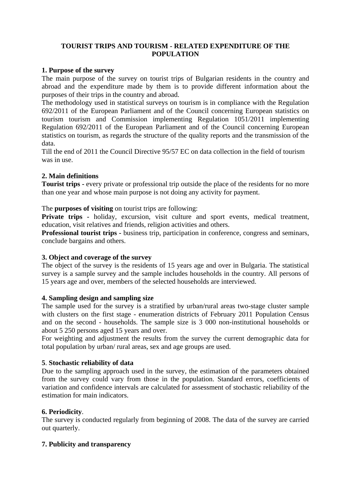# **TOURIST TRIPS AND TOURISM - RELATED EXPENDITURE OF THE POPULATION**

## **1. Purpose of the survey**

The main purpose of the survey on tourist trips of Bulgarian residents in the country and abroad and the expenditure made by them is to provide different information about the purposes of their trips in the country and abroad.

The methodology used in statistical surveys on tourism is in compliance with the Regulation 692/2011 of the European Parliament and of the Council concerning European statistics on tourism tourism and Commission implementing Regulation 1051/2011 implementing Regulation 692/2011 of the European Parliament and of the Council concerning European statistics on tourism, as regards the structure of the quality reports and the transmission of the data.

Till the end of 2011 the Council Directive 95/57 EC on data collection in the field of tourism was in use.

# **2. Main definitions**

**Tourist trips - every private or professional trip outside the place of the residents for no more** than one year and whose main purpose is not doing any activity for payment.

The **purposes of visiting** on tourist trips are following:

Private trips - holiday, excursion, visit culture and sport events, medical treatment, education, visit relatives and friends, religion activities and others.

**Professional tourist trips -** business trip, participation in conference, congress and seminars, conclude bargains and others.

#### **3. Object and coverage of the survey**

The object of the survey is the residents of 15 years age and over in Bulgaria. The statistical survey is a sample survey and the sample includes households in the country. All persons of 15 years age and over, members of the selected households are interviewed.

#### **4. Sampling design and sampling size**

The sample used for the survey is a stratified by urban/rural areas two-stage cluster sample with clusters on the first stage - enumeration districts of February 2011 Population Census and on the second - households. The sample size is 3 000 non-institutional households or about 5 250 persons aged 15 years and over.

For weighting and adjustment the results from the survey the current demographic data for total population by urban/ rural areas, sex and age groups are used.

#### **5**. **Stochastic reliability of data**

Due to the sampling approach used in the survey, the estimation of the parameters obtained from the survey could vary from those in the population. Standard errors, coefficients of variation and confidence intervals are calculated for assessment of stochastic reliability of the estimation for main indicators.

#### **6. Periodicity**.

The survey is conducted regularly from beginning of 2008. The data of the survey are carried out quarterly.

## **7. Publicity and transparency**